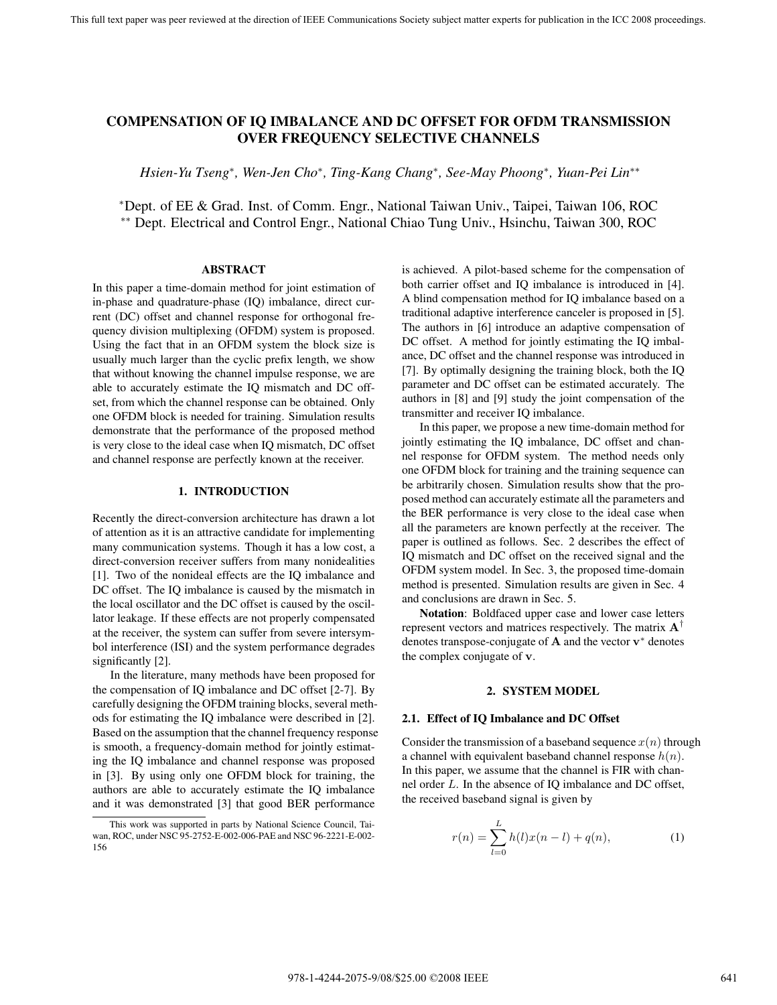# **COMPENSATION OF IQ IMBALANCE AND DC OFFSET FOR OFDM TRANSMISSION OVER FREQUENCY SELECTIVE CHANNELS**

*Hsien-Yu Tseng*∗*, Wen-Jen Cho*∗*, Ting-Kang Chang*∗*, See-May Phoong*∗*, Yuan-Pei Lin*∗∗

<sup>∗</sup>Dept. of EE & Grad. Inst. of Comm. Engr., National Taiwan Univ., Taipei, Taiwan 106, ROC ∗∗ Dept. Electrical and Control Engr., National Chiao Tung Univ., Hsinchu, Taiwan 300, ROC

#### **ABSTRACT**

In this paper a time-domain method for joint estimation of in-phase and quadrature-phase (IQ) imbalance, direct current (DC) offset and channel response for orthogonal frequency division multiplexing (OFDM) system is proposed. Using the fact that in an OFDM system the block size is usually much larger than the cyclic prefix length, we show that without knowing the channel impulse response, we are able to accurately estimate the IQ mismatch and DC offset, from which the channel response can be obtained. Only one OFDM block is needed for training. Simulation results demonstrate that the performance of the proposed method is very close to the ideal case when IQ mismatch, DC offset and channel response are perfectly known at the receiver.

## **1. INTRODUCTION**

Recently the direct-conversion architecture has drawn a lot of attention as it is an attractive candidate for implementing many communication systems. Though it has a low cost, a direct-conversion receiver suffers from many nonidealities [1]. Two of the nonideal effects are the IQ imbalance and DC offset. The IQ imbalance is caused by the mismatch in the local oscillator and the DC offset is caused by the oscillator leakage. If these effects are not properly compensated at the receiver, the system can suffer from severe intersymbol interference (ISI) and the system performance degrades significantly [2].

In the literature, many methods have been proposed for the compensation of IQ imbalance and DC offset [2-7]. By carefully designing the OFDM training blocks, several methods for estimating the IQ imbalance were described in [2]. Based on the assumption that the channel frequency response is smooth, a frequency-domain method for jointly estimating the IQ imbalance and channel response was proposed in [3]. By using only one OFDM block for training, the authors are able to accurately estimate the IQ imbalance and it was demonstrated [3] that good BER performance

is achieved. A pilot-based scheme for the compensation of both carrier offset and IQ imbalance is introduced in [4]. A blind compensation method for IQ imbalance based on a traditional adaptive interference canceler is proposed in [5]. The authors in [6] introduce an adaptive compensation of DC offset. A method for jointly estimating the IQ imbalance, DC offset and the channel response was introduced in [7]. By optimally designing the training block, both the IQ parameter and DC offset can be estimated accurately. The authors in [8] and [9] study the joint compensation of the transmitter and receiver IQ imbalance.

In this paper, we propose a new time-domain method for jointly estimating the IQ imbalance, DC offset and channel response for OFDM system. The method needs only one OFDM block for training and the training sequence can be arbitrarily chosen. Simulation results show that the proposed method can accurately estimate all the parameters and the BER performance is very close to the ideal case when all the parameters are known perfectly at the receiver. The paper is outlined as follows. Sec. 2 describes the effect of IQ mismatch and DC offset on the received signal and the OFDM system model. In Sec. 3, the proposed time-domain method is presented. Simulation results are given in Sec. 4 and conclusions are drawn in Sec. 5.

**Notation**: Boldfaced upper case and lower case letters represent vectors and matrices respectively. The matrix **A**† denotes transpose-conjugate of **A** and the vector **v**<sup>∗</sup> denotes the complex conjugate of **v**.

# **2. SYSTEM MODEL**

#### **2.1. Effect of IQ Imbalance and DC Offset**

Consider the transmission of a baseband sequence  $x(n)$  through a channel with equivalent baseband channel response  $h(n)$ . In this paper, we assume that the channel is FIR with channel order L. In the absence of IQ imbalance and DC offset, the received baseband signal is given by

$$
r(n) = \sum_{l=0}^{L} h(l)x(n-l) + q(n),
$$
 (1)

This work was supported in parts by National Science Council, Taiwan, ROC, under NSC 95-2752-E-002-006-PAE and NSC 96-2221-E-002- 156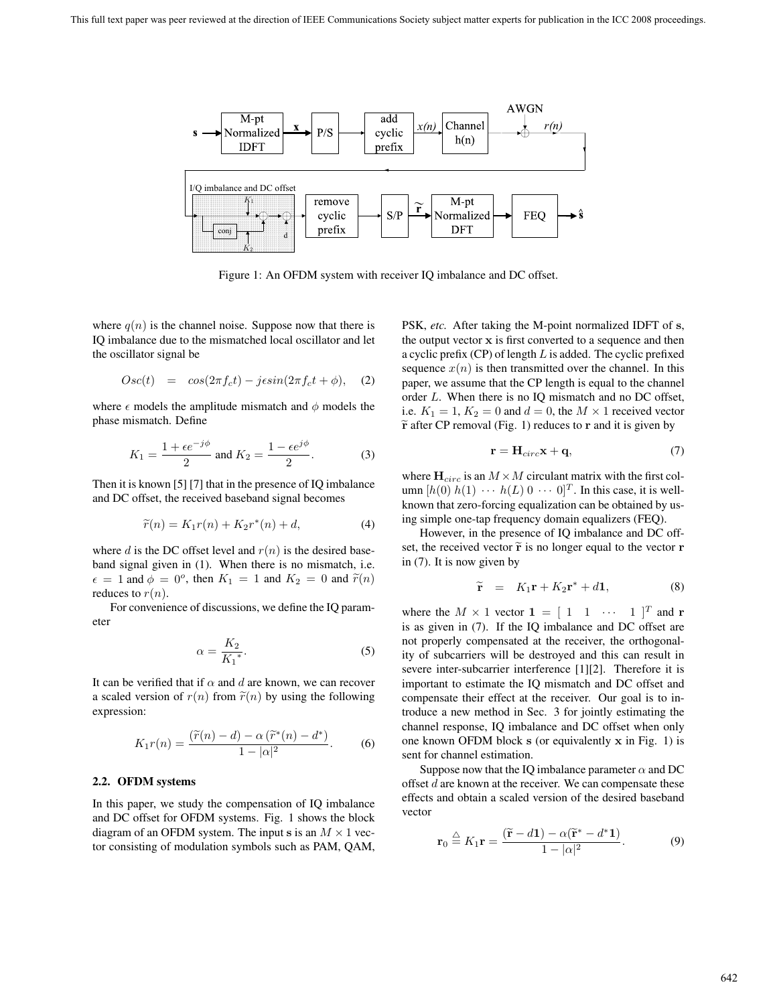

Figure 1: An OFDM system with receiver IQ imbalance and DC offset.

where  $q(n)$  is the channel noise. Suppose now that there is IQ imbalance due to the mismatched local oscillator and let the oscillator signal be

$$
Osc(t) = cos(2\pi f_c t) - j\epsilon sin(2\pi f_c t + \phi),
$$
 (2)

where  $\epsilon$  models the amplitude mismatch and  $\phi$  models the phase mismatch. Define

$$
K_1 = \frac{1 + \epsilon e^{-j\phi}}{2} \text{ and } K_2 = \frac{1 - \epsilon e^{j\phi}}{2}.
$$
 (3)

Then it is known [5] [7] that in the presence of IQ imbalance and DC offset, the received baseband signal becomes

$$
\widetilde{r}(n) = K_1 r(n) + K_2 r^*(n) + d,\tag{4}
$$

where d is the DC offset level and  $r(n)$  is the desired baseband signal given in (1). When there is no mismatch, i.e.  $\epsilon = 1$  and  $\phi = 0^{\circ}$ , then  $K_1 = 1$  and  $K_2 = 0$  and  $\tilde{r}(n)$ reduces to  $r(n)$ .

For convenience of discussions, we define the IQ parameter

$$
\alpha = \frac{K_2}{K_1^*}.\tag{5}
$$

It can be verified that if  $\alpha$  and d are known, we can recover a scaled version of  $r(n)$  from  $\tilde{r}(n)$  by using the following expression:

$$
K_1r(n) = \frac{(\widetilde{r}(n) - d) - \alpha (\widetilde{r}^*(n) - d^*)}{1 - |\alpha|^2}.
$$
 (6)

## **2.2. OFDM systems**

In this paper, we study the compensation of IQ imbalance and DC offset for OFDM systems. Fig. 1 shows the block diagram of an OFDM system. The input s is an  $M \times 1$  vector consisting of modulation symbols such as PAM, QAM, PSK, *etc.* After taking the M-point normalized IDFT of **s**, the output vector **x** is first converted to a sequence and then a cyclic prefix  $(CP)$  of length  $L$  is added. The cyclic prefixed sequence  $x(n)$  is then transmitted over the channel. In this paper, we assume that the CP length is equal to the channel order L. When there is no IQ mismatch and no DC offset, i.e.  $K_1 = 1, K_2 = 0$  and  $d = 0$ , the  $M \times 1$  received vector -**r** after CP removal (Fig. 1) reduces to **r** and it is given by

$$
\mathbf{r} = \mathbf{H}_{circ}\mathbf{x} + \mathbf{q},\tag{7}
$$

where  $\mathbf{H}_{circ}$  is an  $M \times M$  circulant matrix with the first column  $[h(0) h(1) \cdots h(L) 0 \cdots 0]^T$ . In this case, it is wellknown that zero-forcing equalization can be obtained by using simple one-tap frequency domain equalizers (FEQ).

However, in the presence of IQ imbalance and DC offset, the received vector  $\tilde{\mathbf{r}}$  is no longer equal to the vector **r** in (7). It is now given by

$$
\widetilde{\mathbf{r}} = K_1 \mathbf{r} + K_2 \mathbf{r}^* + d\mathbf{1}, \tag{8}
$$

where the  $M \times 1$  vector  $\mathbf{1} = \begin{bmatrix} 1 & 1 & \cdots & 1 \end{bmatrix}^T$  and **r** is as given in (7). If the IQ imbalance and DC offset are not properly compensated at the receiver, the orthogonality of subcarriers will be destroyed and this can result in severe inter-subcarrier interference [1][2]. Therefore it is important to estimate the IQ mismatch and DC offset and compensate their effect at the receiver. Our goal is to introduce a new method in Sec. 3 for jointly estimating the channel response, IQ imbalance and DC offset when only one known OFDM block **s** (or equivalently **x** in Fig. 1) is sent for channel estimation.

Suppose now that the IQ imbalance parameter  $\alpha$  and DC offset d are known at the receiver. We can compensate these effects and obtain a scaled version of the desired baseband vector

$$
\mathbf{r}_0 \stackrel{\triangle}{=} K_1 \mathbf{r} = \frac{(\widetilde{\mathbf{r}} - d\mathbf{1}) - \alpha(\widetilde{\mathbf{r}}^* - d^*\mathbf{1})}{1 - |\alpha|^2}.
$$
 (9)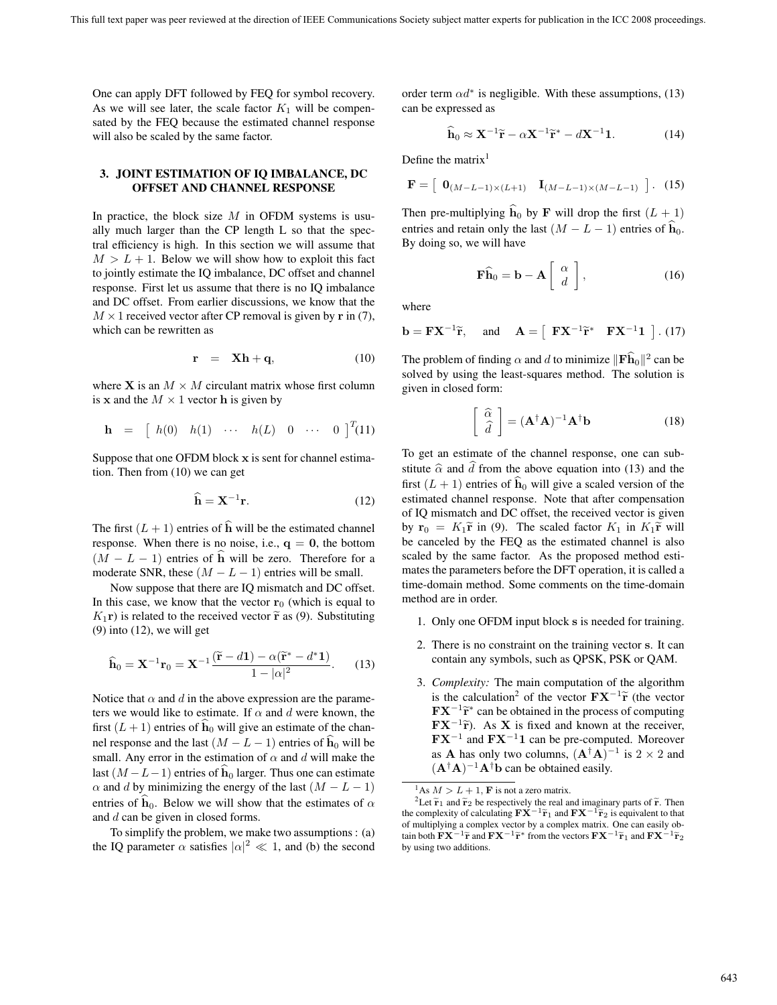One can apply DFT followed by FEQ for symbol recovery. As we will see later, the scale factor  $K_1$  will be compensated by the FEQ because the estimated channel response will also be scaled by the same factor.

# **3. JOINT ESTIMATION OF IQ IMBALANCE, DC OFFSET AND CHANNEL RESPONSE**

In practice, the block size  $M$  in OFDM systems is usually much larger than the CP length L so that the spectral efficiency is high. In this section we will assume that  $M > L + 1$ . Below we will show how to exploit this fact to jointly estimate the IQ imbalance, DC offset and channel response. First let us assume that there is no IQ imbalance and DC offset. From earlier discussions, we know that the  $M \times 1$  received vector after CP removal is given by **r** in (7), which can be rewritten as

$$
\mathbf{r} = \mathbf{X}\mathbf{h} + \mathbf{q}, \tag{10}
$$

where **X** is an  $M \times M$  circulant matrix whose first column is **x** and the  $M \times 1$  vector **h** is given by

$$
\mathbf{h} = [h(0) \quad h(1) \quad \cdots \quad h(L) \quad 0 \quad \cdots \quad 0]^{T}(11)
$$

Suppose that one OFDM block **x** is sent for channel estimation. Then from (10) we can get

$$
\widehat{\mathbf{h}} = \mathbf{X}^{-1} \mathbf{r}.\tag{12}
$$

The first  $(L + 1)$  entries of  $\hat{h}$  will be the estimated channel response. When there is no noise, i.e.,  $q = 0$ , the bottom  $(M - L - 1)$  entries of **h** will be zero. Therefore for a moderate SNR, these  $(M - L - 1)$  entries will be small.

Now suppose that there are IQ mismatch and DC offset. In this case, we know that the vector  $\mathbf{r}_0$  (which is equal to  $K_1$ **r**) is related to the received vector  $\tilde{\mathbf{r}}$  as (9). Substituting  $(9)$  into  $(12)$ , we will get

$$
\widehat{\mathbf{h}}_0 = \mathbf{X}^{-1} \mathbf{r}_0 = \mathbf{X}^{-1} \frac{(\widetilde{\mathbf{r}} - d\mathbf{1}) - \alpha (\widetilde{\mathbf{r}}^* - d^* \mathbf{1})}{1 - |\alpha|^2}.
$$
 (13)

Notice that  $\alpha$  and d in the above expression are the parameters we would like to estimate. If  $\alpha$  and d were known, the first  $(L + 1)$  entries of  $\hat{h}_0$  will give an estimate of the channel response and the last  $(M - L - 1)$  entries of  $\hat{h}_0$  will be small. Any error in the estimation of  $\alpha$  and d will make the last  $(M - L - 1)$  entries of  $\hat{h}_0$  larger. Thus one can estimate  $\alpha$  and d by minimizing the energy of the last  $(M - L - 1)$ entries of  $h_0$ . Below we will show that the estimates of  $\alpha$ and d can be given in closed forms.

To simplify the problem, we make two assumptions : (a) the IQ parameter  $\alpha$  satisfies  $|\alpha|^2 \ll 1$ , and (b) the second

order term  $\alpha d^*$  is negligible. With these assumptions, (13) can be expressed as

$$
\widehat{\mathbf{h}}_0 \approx \mathbf{X}^{-1}\widetilde{\mathbf{r}} - \alpha \mathbf{X}^{-1}\widetilde{\mathbf{r}}^* - d\mathbf{X}^{-1}\mathbf{1}.\tag{14}
$$

Define the matrix<sup>1</sup>

$$
\mathbf{F} = \begin{bmatrix} \mathbf{0}_{(M-L-1)\times(L+1)} & \mathbf{I}_{(M-L-1)\times(M-L-1)} \end{bmatrix} . (15)
$$

Then pre-multiplying  $\hat{h}_0$  by **F** will drop the first  $(L + 1)$ entries and retain only the last  $(M - L - 1)$  entries of  $\hat{h}_0$ . By doing so, we will have

$$
\widehat{\mathbf{F}}\widehat{\mathbf{h}}_0 = \mathbf{b} - \mathbf{A} \left[ \begin{array}{c} \alpha \\ d \end{array} \right],\tag{16}
$$

where

$$
\mathbf{b} = \mathbf{F} \mathbf{X}^{-1} \widetilde{\mathbf{r}}, \quad \text{and} \quad \mathbf{A} = \left[ \begin{array}{cc} \mathbf{F} \mathbf{X}^{-1} \widetilde{\mathbf{r}}^* & \mathbf{F} \mathbf{X}^{-1} \mathbf{1} \end{array} \right]. (17)
$$

The problem of finding  $\alpha$  and d to minimize  $\|\mathbf{F}\hat{\mathbf{h}}_0\|^2$  can be solved by using the least-squares method. The solution is given in closed form:

$$
\begin{bmatrix}\n\hat{\alpha} \\
\hat{d}\n\end{bmatrix} = (\mathbf{A}^\dagger \mathbf{A})^{-1} \mathbf{A}^\dagger \mathbf{b}
$$
\n(18)

To get an estimate of the channel response, one can substitute  $\hat{\alpha}$  and  $\hat{d}$  from the above equation into (13) and the first  $(L + 1)$  entries of  $\mathbf{h}_0$  will give a scaled version of the estimated channel response. Note that after compensation of IQ mismatch and DC offset, the received vector is given by  $\mathbf{r}_0 = K_1 \tilde{\mathbf{r}}$  in (9). The scaled factor  $K_1$  in  $K_1 \tilde{\mathbf{r}}$  will be canceled by the FEQ as the estimated channel is also scaled by the same factor. As the proposed method estimates the parameters before the DFT operation, it is called a time-domain method. Some comments on the time-domain method are in order.

- 1. Only one OFDM input block **s** is needed for training.
- 2. There is no constraint on the training vector **s**. It can contain any symbols, such as QPSK, PSK or QAM.
- 3. *Complexity:* The main computation of the algorithm is the calculation<sup>2</sup> of the vector  $\mathbf{FX}^{-1}\tilde{\mathbf{r}}$  (the vector  $\mathbf{F} \mathbf{X}^{-1} \widetilde{\mathbf{r}}^*$  can be obtained in the process of computing  $\mathbf{F} \mathbf{X}^{-1} \tilde{\mathbf{r}}$ . As **X** is fixed and known at the receiver, **FX**−<sup>1</sup> and **FX**−<sup>1</sup>**1** can be pre-computed. Moreover as **A** has only two columns,  $(A^{\dagger}A)^{-1}$  is 2 × 2 and  $(A^{\dagger}A)^{-1}A^{\dagger}b$  can be obtained easily.

<sup>&</sup>lt;sup>1</sup>As  $M > L + 1$ , **F** is not a zero matrix.

<sup>&</sup>lt;sup>2</sup>Let  $\tilde{\mathbf{r}}_1$  and  $\tilde{\mathbf{r}}_2$  be respectively the real and imaginary parts of  $\tilde{\mathbf{r}}$ . Then the complexity of calculating  $\mathbf{F} \mathbf{X}^{-1} \tilde{\mathbf{r}}_1$  and  $\mathbf{F} \mathbf{X}^{-1} \tilde{\mathbf{r}}_2$  is equivalent to that of multiplying a complex vector by a complex matrix. One can easily obtain both  $\mathbf{FX}^{-1}\tilde{\mathbf{r}}$  and  $\mathbf{FX}^{-1}\tilde{\mathbf{r}}^*$  from the vectors  $\mathbf{FX}^{-1}\tilde{\mathbf{r}}_1$  and  $\mathbf{FX}^{-1}\tilde{\mathbf{r}}_2$ by using two additions.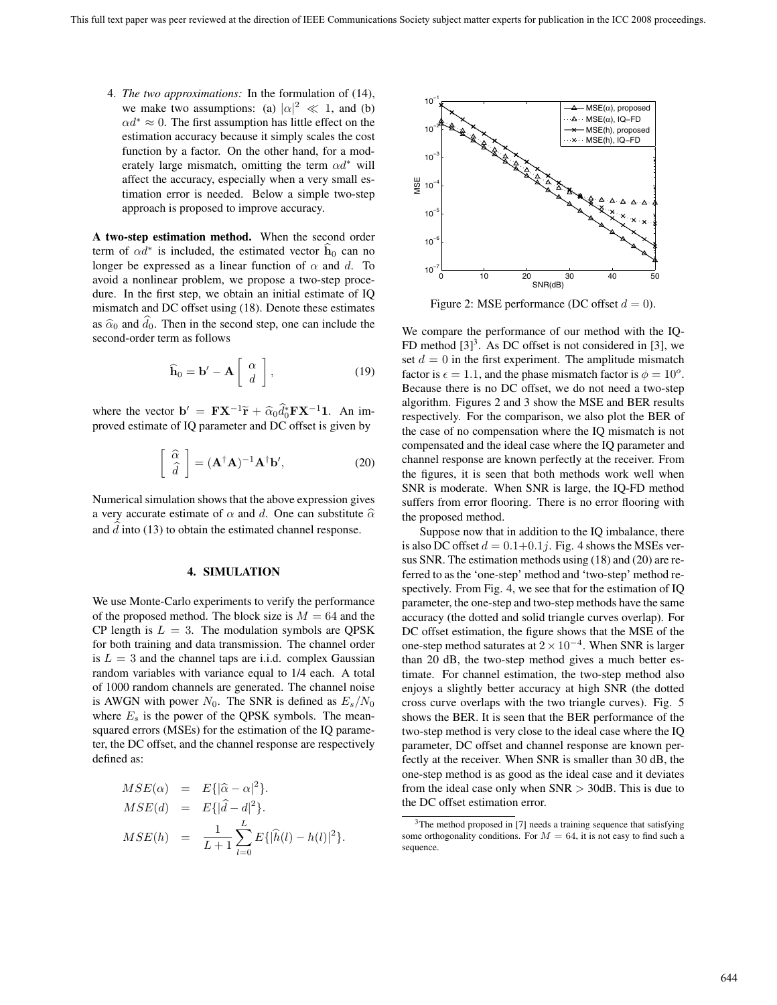4. *The two approximations:* In the formulation of (14), we make two assumptions: (a)  $|\alpha|^2 \ll 1$ , and (b)  $\alpha d^* \approx 0$ . The first assumption has little effect on the estimation accuracy because it simply scales the cost function by a factor. On the other hand, for a moderately large mismatch, omitting the term  $\alpha d^*$  will affect the accuracy, especially when a very small estimation error is needed. Below a simple two-step approach is proposed to improve accuracy.

**A two-step estimation method.** When the second order term of  $\alpha d^*$  is included, the estimated vector **h**<sub>0</sub> can no longer be expressed as a linear function of  $\alpha$  and d. To avoid a nonlinear problem, we propose a two-step procedure. In the first step, we obtain an initial estimate of IQ mismatch and DC offset using (18). Denote these estimates as  $\hat{\alpha}_0$  and  $\hat{d}_0$ . Then in the second step, one can include the second-order term as follows

$$
\widehat{\mathbf{h}}_0 = \mathbf{b}' - \mathbf{A} \left[ \begin{array}{c} \alpha \\ d \end{array} \right],\tag{19}
$$

where the vector  $\mathbf{b}' = \mathbf{F} \mathbf{X}^{-1} \tilde{\mathbf{r}} + \hat{\alpha}_0 \hat{d}_0^* \mathbf{F} \mathbf{X}^{-1} \mathbf{1}$ . An improved estimate of IQ parameter and DC offset is given by

$$
\left[\begin{array}{c}\n\widehat{\alpha} \\
\widehat{d}\n\end{array}\right] = (\mathbf{A}^{\dagger}\mathbf{A})^{-1}\mathbf{A}^{\dagger}\mathbf{b}',\n\tag{20}
$$

Numerical simulation shows that the above expression gives a very accurate estimate of  $\alpha$  and d. One can substitute  $\hat{\alpha}$ and  $\hat{d}$  into (13) to obtain the estimated channel response.

#### **4. SIMULATION**

We use Monte-Carlo experiments to verify the performance of the proposed method. The block size is  $M = 64$  and the CP length is  $L = 3$ . The modulation symbols are OPSK for both training and data transmission. The channel order is  $L = 3$  and the channel taps are i.i.d. complex Gaussian random variables with variance equal to 1/4 each. A total of 1000 random channels are generated. The channel noise is AWGN with power  $N_0$ . The SNR is defined as  $E_s/N_0$ where  $E_s$  is the power of the QPSK symbols. The meansquared errors (MSEs) for the estimation of the IQ parameter, the DC offset, and the channel response are respectively defined as:

$$
MSE(\alpha) = E\{|\hat{\alpha} - \alpha|^2\}.
$$
  
\n
$$
MSE(d) = E\{|\hat{d} - d|^2\}.
$$
  
\n
$$
MSE(h) = \frac{1}{L+1} \sum_{l=0}^{L} E\{|\hat{h}(l) - h(l)|^2\}.
$$



Figure 2: MSE performance (DC offset  $d = 0$ ).

We compare the performance of our method with the IQ-FD method  $[3]^3$ . As DC offset is not considered in [3], we set  $d = 0$  in the first experiment. The amplitude mismatch factor is  $\epsilon = 1.1$ , and the phase mismatch factor is  $\phi = 10^{\circ}$ . Because there is no DC offset, we do not need a two-step algorithm. Figures 2 and 3 show the MSE and BER results respectively. For the comparison, we also plot the BER of the case of no compensation where the IQ mismatch is not compensated and the ideal case where the IQ parameter and channel response are known perfectly at the receiver. From the figures, it is seen that both methods work well when SNR is moderate. When SNR is large, the IQ-FD method suffers from error flooring. There is no error flooring with the proposed method.

Suppose now that in addition to the IQ imbalance, there is also DC offset  $d = 0.1+0.1j$ . Fig. 4 shows the MSEs versus SNR. The estimation methods using (18) and (20) are referred to as the 'one-step' method and 'two-step' method respectively. From Fig. 4, we see that for the estimation of IQ parameter, the one-step and two-step methods have the same accuracy (the dotted and solid triangle curves overlap). For DC offset estimation, the figure shows that the MSE of the one-step method saturates at  $2 \times 10^{-4}$ . When SNR is larger than 20 dB, the two-step method gives a much better estimate. For channel estimation, the two-step method also enjoys a slightly better accuracy at high SNR (the dotted cross curve overlaps with the two triangle curves). Fig. 5 shows the BER. It is seen that the BER performance of the two-step method is very close to the ideal case where the IQ parameter, DC offset and channel response are known perfectly at the receiver. When SNR is smaller than 30 dB, the one-step method is as good as the ideal case and it deviates from the ideal case only when  $SNR > 30dB$ . This is due to the DC offset estimation error.

 $3$ The method proposed in [7] needs a training sequence that satisfying some orthogonality conditions. For  $M = 64$ , it is not easy to find such a sequence.